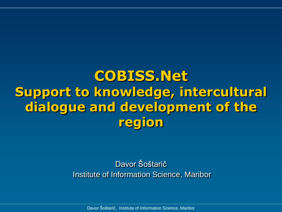# **COBISS.Net Support to knowledge, intercultural dialogue and development of the region**

### Davor Šoštarič Institute of Information Science, Maribor

Davor Šoštarič, Institute of Information Science, Maribor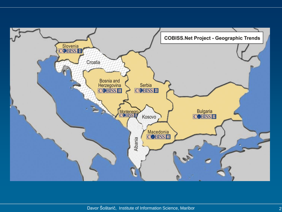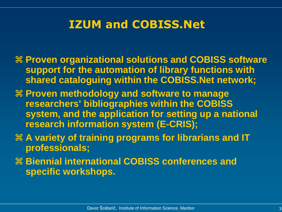### **IZUM and COBISS.Net**

- **Proven organizational solutions and COBISS software support for the automation of library functions with shared cataloguing within the COBISS.Net network;**
- **Proven methodology and software to manage researchers' bibliographies within the COBISS system, and the application for setting up a national research information system (E-CRIS);**
- **A variety of training programs for librarians and IT professionals;**
- **Biennial international COBISS conferences and specific workshops.**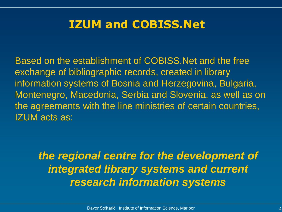### **IZUM and COBISS.Net**

Based on the establishment of COBISS.Net and the free exchange of bibliographic records, created in library information systems of Bosnia and Herzegovina, Bulgaria, Montenegro, Macedonia, Serbia and Slovenia, as well as on the agreements with the line ministries of certain countries, IZUM acts as:

*the regional centre for the development of integrated library systems and current research information systems*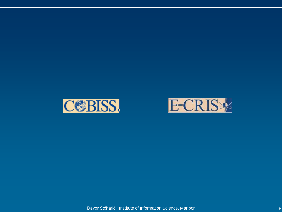

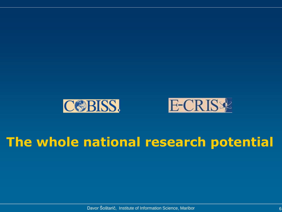

# **The whole national research potential**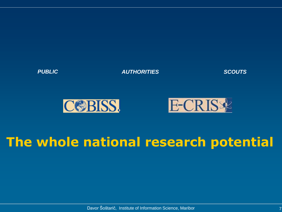*PUBLIC AUTHORITIES SCOUTS*





# **The whole national research potential**

Davor Šoštarič, Institute of Information Science, Maribor 7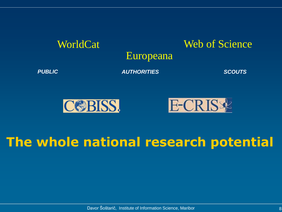





## **The whole national research potential**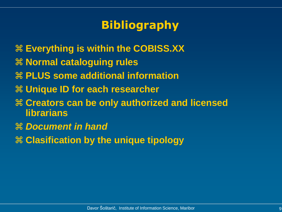## **Bibliography**

- **Everything is within the COBISS.XX**
- **Normal cataloguing rules**
- **PLUS some additional information**
- **Unique ID for each researcher**
- **Creators can be only authorized and licensed librarians**
- *Document in hand*
- **Clasification by the unique tipology**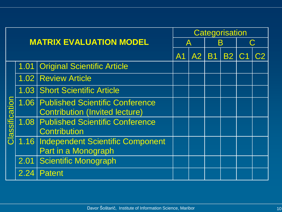|                       |                                | Categorisation                                                                |                |    |           |           |                             |  |  |
|-----------------------|--------------------------------|-------------------------------------------------------------------------------|----------------|----|-----------|-----------|-----------------------------|--|--|
|                       | <b>MATRIX EVALUATION MODEL</b> |                                                                               |                | А  |           | B         |                             |  |  |
|                       |                                |                                                                               | A <sub>1</sub> | A2 | <b>B1</b> | <b>B2</b> | $\overline{\phantom{0}}$ C1 |  |  |
|                       | 1.01                           | <b>Original Scientific Article</b>                                            |                |    |           |           |                             |  |  |
|                       |                                | 1.02 Review Article                                                           |                |    |           |           |                             |  |  |
|                       |                                | 1.03 Short Scientific Article                                                 |                |    |           |           |                             |  |  |
|                       |                                | 1.06 Published Scientific Conference<br><b>Contribution (Invited lecture)</b> |                |    |           |           |                             |  |  |
| <b>Classification</b> |                                | 1.08 Published Scientific Conference<br><b>Contribution</b>                   |                |    |           |           |                             |  |  |
|                       |                                | 1.16 Independent Scientific Component<br>Part in a Monograph                  |                |    |           |           |                             |  |  |
|                       | 2.01                           | <b>Scientific Monograph</b>                                                   |                |    |           |           |                             |  |  |
|                       | 2.24                           | <b>Patent</b>                                                                 |                |    |           |           |                             |  |  |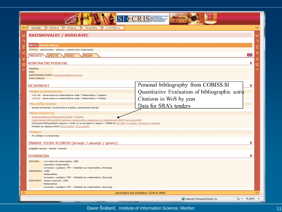|   |                                            |                                                                                                                                                                                                                                                                                                                              | <b>SIXCRIS</b>                                                             |                                  |
|---|--------------------------------------------|------------------------------------------------------------------------------------------------------------------------------------------------------------------------------------------------------------------------------------------------------------------------------------------------------------------------------|----------------------------------------------------------------------------|----------------------------------|
| 侖 |                                            | I Iskanje FI Storitve FI Prijava FI Obvestila FI o SICRIS-u                                                                                                                                                                                                                                                                  |                                                                            | $\boxtimes$                      |
|   |                                            | <b>RAZISKOVALEC / SODELAVEC</b>                                                                                                                                                                                                                                                                                              |                                                                            |                                  |
|   |                                            | 08721 Brešar Matej                                                                                                                                                                                                                                                                                                           |                                                                            |                                  |
|   |                                            | STATUS raziskovalec - aktiven v raziskovalni organizaciji<br>PREDSTAVITEV ZAPOSLITVE<br>PROJEKTI<br><b>PROGRAMI</b>                                                                                                                                                                                                          |                                                                            | 을중                               |
|   |                                            | <b>KONTAKTNI PODATKI</b>                                                                                                                                                                                                                                                                                                     |                                                                            | 會                                |
|   | <b>TELEFON</b><br><b>FAKS</b>              | ELEKTRONSKA POŠTA matej.bresar@fmf.uni-lj.si                                                                                                                                                                                                                                                                                 |                                                                            |                                  |
|   | <b>WWW NASLOV</b><br><b>DEJAVNOST</b>      |                                                                                                                                                                                                                                                                                                                              | Personal bibliography from COBISS.SI                                       |                                  |
|   |                                            | ARRS KLASIFIKACIJA<br>1.01.04 - Naravoslovno-matematične vede / Matematika / Algebra<br>1.01.01 - Naravoslovno-matematične vede / Matematika / Analiza                                                                                                                                                                       | Quantitative Evaluation of bibliographic units<br>Citations in WoS by year |                                  |
|   | <b>EXLIUCNE BESEDE</b>                     | teorija kolobarjev, funkcionalna analiza, operatorska teorija                                                                                                                                                                                                                                                                | Data for SRA's tenders                                                     |                                  |
|   | <b>BIBLIOGRAFDA</b><br>$\rightarrow$ VIDEO | Reprezentativne bibliografske enote / Celotna<br>Vrednotenje bibliografskih kazalcev raziskovalne uspešnosti po metodologiji ARRS (novi pravilnik)<br>Citiranost bibliografskih zapisov v WoS, ki so povezani z zapisi v COBIB.SI (po letih, h-indeks, normirani h-indel<br>Podatki za razpise ARRS (02.10.2009, 30.11.2009) |                                                                            |                                  |
|   |                                            | TV oddaje in predavanja<br>ZNANJE TUJIH JEZIKOV (branje / pisanje / govor)                                                                                                                                                                                                                                                   |                                                                            |                                  |
|   |                                            | angleški tekoče / tekoče / tekoče                                                                                                                                                                                                                                                                                            |                                                                            |                                  |
|   | <b>IZOBRAZBA</b>                           |                                                                                                                                                                                                                                                                                                                              |                                                                            |                                  |
|   | <b>DIPLOMA</b><br>MAGISTERIJ 1989          | univ.dipl.inž.matematike, 1987<br>Uporabna matematika<br>Univerza v Ljubljani, FNT - Oddelek za matematiko, Slovenija                                                                                                                                                                                                        |                                                                            |                                  |
|   | <b>DOKTORAT</b>                            | Matematika<br>Univerza v Ljubljani, FNT - Oddelek za matematiko, Slovenija<br>doktor znanosti, 1990<br>Matematika<br>Univerza v Ljubljani, FNT - Oddelek za matematiko, Slovenija                                                                                                                                            |                                                                            |                                  |
| ⋒ |                                            |                                                                                                                                                                                                                                                                                                                              | Upravljalca baz podatkov: IZUM in ARRS                                     | ⊠                                |
|   |                                            |                                                                                                                                                                                                                                                                                                                              | Internet   Protected Mode: On                                              | $\frac{1}{4a}$ $\sqrt{24.100\%}$ |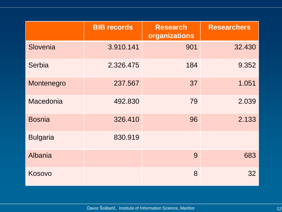|                 | <b>BIB records</b> | <b>Research</b><br>organizations | <b>Researchers</b> |
|-----------------|--------------------|----------------------------------|--------------------|
| Slovenia        | 3.910.141          | 901                              | 32.430             |
| Serbia          | 2.326.475          | 184                              | 9.352              |
| Montenegro      | 237.567            | 37                               | 1.051              |
| Macedonia       | 492.830            | 79                               | 2.039              |
| <b>Bosnia</b>   | 326.410            | 96                               | 2.133              |
| <b>Bulgaria</b> | 830.919            |                                  |                    |
| <b>Albania</b>  |                    | 9                                | 683                |
| Kosovo          |                    | 8                                | 32                 |